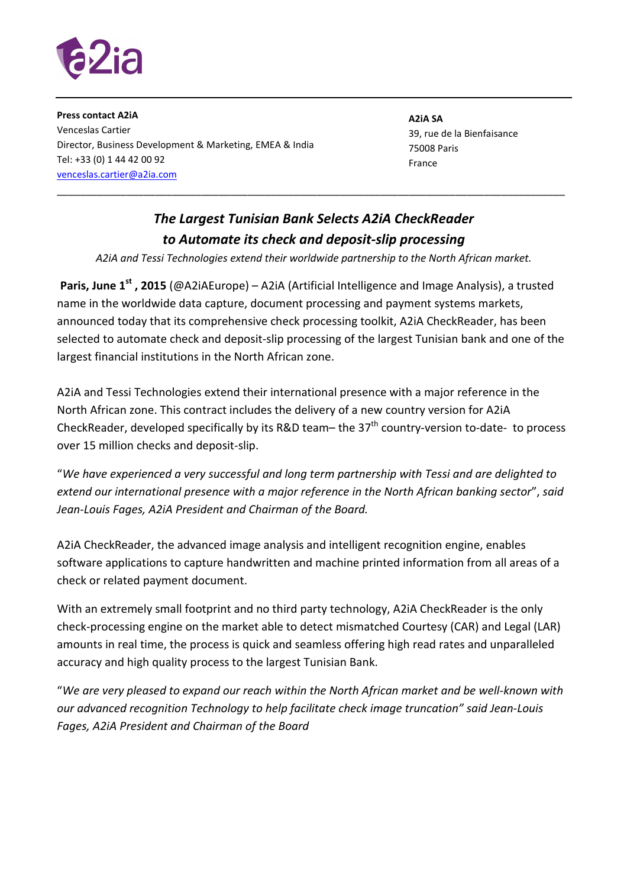

**Press contact A2iA**  Venceslas Cartier Director, Business Development & Marketing, EMEA & India Tel: +33 (0) 1 44 42 00 92 venceslas.cartier@a2ia.com

**A2iA SA** 39, rue de la Bienfaisance 75008 Paris France

## *The Largest Tunisian Bank Selects A2iA CheckReader to Automate its check and deposit-slip processing*

\_\_\_\_\_\_\_\_\_\_\_\_\_\_\_\_\_\_\_\_\_\_\_\_\_\_\_\_\_\_\_\_\_\_\_\_\_\_\_\_\_\_\_\_\_\_\_\_\_\_\_\_\_\_\_\_\_\_\_\_\_\_\_\_\_\_\_\_\_\_\_\_\_\_\_\_\_\_\_\_\_\_\_\_\_\_\_\_

*A2iA and Tessi Technologies extend their worldwide partnership to the North African market.* 

**Paris, June 1st , 2015** (@A2iAEurope) – A2iA (Artificial Intelligence and Image Analysis), a trusted name in the worldwide data capture, document processing and payment systems markets, announced today that its comprehensive check processing toolkit, A2iA CheckReader, has been selected to automate check and deposit-slip processing of the largest Tunisian bank and one of the largest financial institutions in the North African zone.

A2iA and Tessi Technologies extend their international presence with a major reference in the North African zone. This contract includes the delivery of a new country version for A2iA CheckReader, developed specifically by its R&D team– the 37<sup>th</sup> country-version to-date- to process over 15 million checks and deposit-slip.

"*We have experienced a very successful and long term partnership with Tessi and are delighted to extend our international presence with a major reference in the North African banking sector*", *said Jean-Louis Fages, A2iA President and Chairman of the Board.* 

A2iA CheckReader, the advanced image analysis and intelligent recognition engine, enables software applications to capture handwritten and machine printed information from all areas of a check or related payment document.

With an extremely small footprint and no third party technology, A2iA CheckReader is the only check-processing engine on the market able to detect mismatched Courtesy (CAR) and Legal (LAR) amounts in real time, the process is quick and seamless offering high read rates and unparalleled accuracy and high quality process to the largest Tunisian Bank.

"*We are very pleased to expand our reach within the North African market and be well-known with our advanced recognition Technology to help facilitate check image truncation" said Jean-Louis Fages, A2iA President and Chairman of the Board*